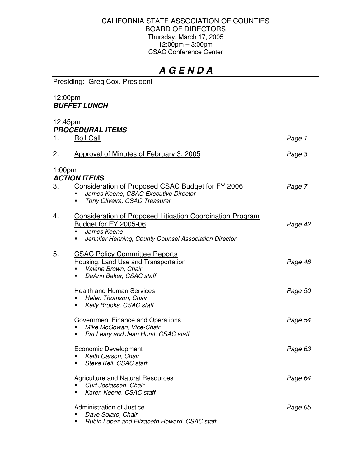### CALIFORNIA STATE ASSOCIATION OF COUNTIES BOARD OF DIRECTORS Thursday, March 17, 2005 12:00pm – 3:00pm CSAC Conference Center

# *A G E N D A*

Presiding: Greg Cox, President

### 12:00pm *BUFFET LUNCH*

## 12:45pm *PROCEDURAL ITEMS* 1. Roll Call *Page 1* 2. Approval of Minutes of February 3, 2005 *Page 3* 1:00pm *ACTION ITEMS* 3. Consideration of Proposed CSAC Budget for FY 2006 *Page 7 James Keene, CSAC Executive Director Tony Oliveira, CSAC Treasurer* 4. Consideration of Proposed Litigation Coordination Program Budget for FY 2005-06 *Page 42 James Keene Jennifer Henning, County Counsel Association Director* 5. CSAC Policy Committee Reports Housing, Land Use and Transportation *Page 48 Valerie Brown, Chair DeAnn Baker, CSAC staff* Health and Human Services *Page 50 Helen Thomson, Chair Kelly Brooks, CSAC staff* Government Finance and Operations *Page 54 Mike McGowan, Vice-Chair Pat Leary and Jean Hurst, CSAC staff* Economic Development *Page 63 Keith Carson, Chair Steve Keil, CSAC staff* Agriculture and Natural Resources *Page 64 Curt Josiassen, Chair Karen Keene, CSAC staff* Administration of Justice *Page 65 Dave Solaro, Chair*

*Rubin Lopez and Elizabeth Howard, CSAC staff*